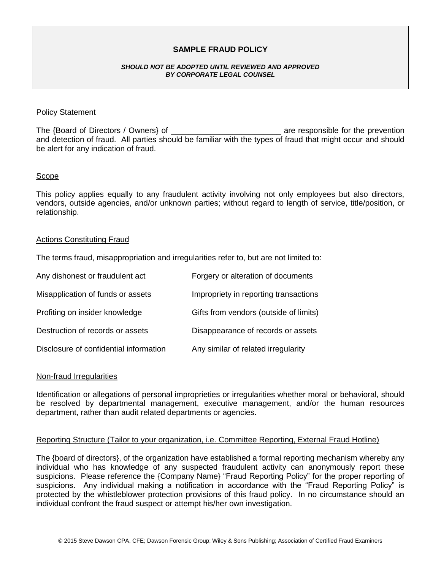# **SAMPLE FRAUD POLICY**

#### *SHOULD NOT BE ADOPTED UNTIL REVIEWED AND APPROVED BY CORPORATE LEGAL COUNSEL*

### Policy Statement

The {Board of Directors / Owners} of \_\_\_\_\_\_\_\_\_\_\_\_\_\_\_\_\_\_\_\_\_\_\_\_\_\_\_\_\_\_\_\_ are responsible for the prevention and detection of fraud. All parties should be familiar with the types of fraud that might occur and should be alert for any indication of fraud.

### Scope

This policy applies equally to any fraudulent activity involving not only employees but also directors, vendors, outside agencies, and/or unknown parties; without regard to length of service, title/position, or relationship.

#### Actions Constituting Fraud

The terms fraud, misappropriation and irregularities refer to, but are not limited to:

| Any dishonest or fraudulent act        | Forgery or alteration of documents     |
|----------------------------------------|----------------------------------------|
| Misapplication of funds or assets      | Impropriety in reporting transactions  |
| Profiting on insider knowledge         | Gifts from vendors (outside of limits) |
| Destruction of records or assets       | Disappearance of records or assets     |
| Disclosure of confidential information | Any similar of related irregularity    |

#### Non-fraud Irregularities

Identification or allegations of personal improprieties or irregularities whether moral or behavioral, should be resolved by departmental management, executive management, and/or the human resources department, rather than audit related departments or agencies.

## Reporting Structure (Tailor to your organization, i.e. Committee Reporting, External Fraud Hotline)

The {board of directors}, of the organization have established a formal reporting mechanism whereby any individual who has knowledge of any suspected fraudulent activity can anonymously report these suspicions. Please reference the {Company Name} "Fraud Reporting Policy" for the proper reporting of suspicions. Any individual making a notification in accordance with the "Fraud Reporting Policy" is protected by the whistleblower protection provisions of this fraud policy. In no circumstance should an individual confront the fraud suspect or attempt his/her own investigation.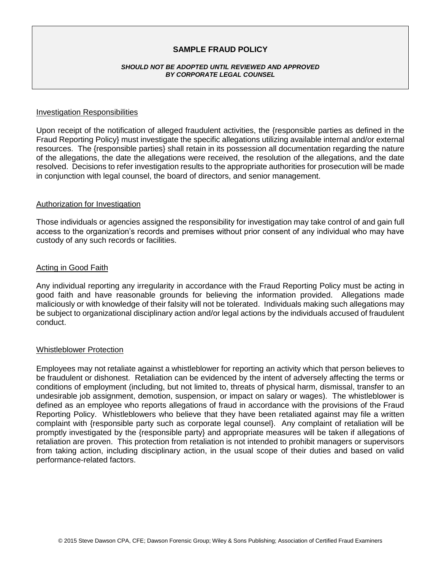# **SAMPLE FRAUD POLICY**

#### *SHOULD NOT BE ADOPTED UNTIL REVIEWED AND APPROVED BY CORPORATE LEGAL COUNSEL*

### Investigation Responsibilities

Upon receipt of the notification of alleged fraudulent activities, the {responsible parties as defined in the Fraud Reporting Policy} must investigate the specific allegations utilizing available internal and/or external resources. The {responsible parties} shall retain in its possession all documentation regarding the nature of the allegations, the date the allegations were received, the resolution of the allegations, and the date resolved. Decisions to refer investigation results to the appropriate authorities for prosecution will be made in conjunction with legal counsel, the board of directors, and senior management.

### Authorization for Investigation

Those individuals or agencies assigned the responsibility for investigation may take control of and gain full access to the organization's records and premises without prior consent of any individual who may have custody of any such records or facilities.

### Acting in Good Faith

Any individual reporting any irregularity in accordance with the Fraud Reporting Policy must be acting in good faith and have reasonable grounds for believing the information provided. Allegations made maliciously or with knowledge of their falsity will not be tolerated. Individuals making such allegations may be subject to organizational disciplinary action and/or legal actions by the individuals accused of fraudulent conduct.

## Whistleblower Protection

Employees may not retaliate against a whistleblower for reporting an activity which that person believes to be fraudulent or dishonest. Retaliation can be evidenced by the intent of adversely affecting the terms or conditions of employment (including, but not limited to, threats of physical harm, dismissal, transfer to an undesirable job assignment, demotion, suspension, or impact on salary or wages). The whistleblower is defined as an employee who reports allegations of fraud in accordance with the provisions of the Fraud Reporting Policy. Whistleblowers who believe that they have been retaliated against may file a written complaint with {responsible party such as corporate legal counsel}. Any complaint of retaliation will be promptly investigated by the {responsible party} and appropriate measures will be taken if allegations of retaliation are proven. This protection from retaliation is not intended to prohibit managers or supervisors from taking action, including disciplinary action, in the usual scope of their duties and based on valid performance-related factors.